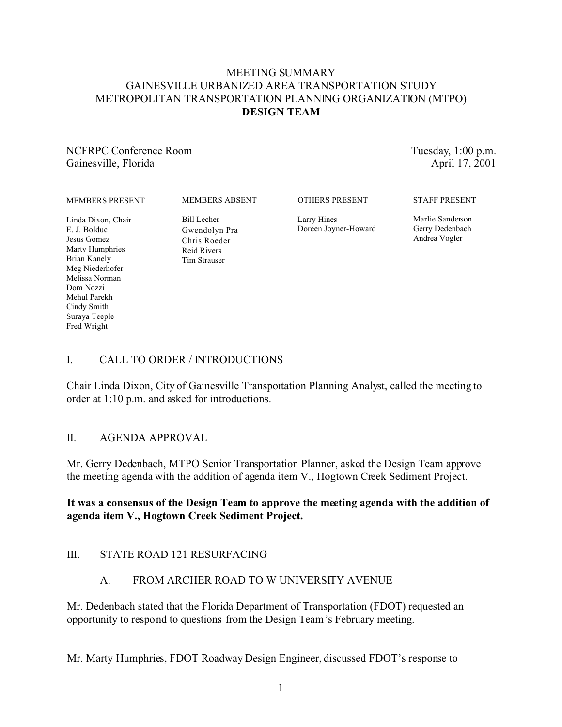## MEETING SUMMARY GAINESVILLE URBANIZED AREA TRANSPORTATION STUDY METROPOLITAN TRANSPORTATION PLANNING ORGANIZATION (MTPO) **DESIGN TEAM**

NCFRPC Conference Room Gainesville, Florida

Tuesday, 1:00 p.m. April 17, 2001

#### MEMBERS PRESENT

MEMBERS ABSENT

OTHERS PRESENT

Larry Hines Doreen Joyner-Howard Marlie Sanderson Gerry Dedenbach

Andrea Vogler

STAFF PRESENT

Linda Dixon, Chair E. J. Bolduc Jesus Gomez Marty Humphries Brian Kanely Meg Niederhofer Melissa Norman Dom Nozzi Mehul Parekh Cindy Smith Suraya Teeple Fred Wright

Gwendolyn Pra Chris Roeder Reid Rivers

Bill Lecher

Tim Strauser

# I. CALL TO ORDER / INTRODUCTIONS

Chair Linda Dixon, City of Gainesville Transportation Planning Analyst, called the meeting to order at 1:10 p.m. and asked for introductions.

## II. AGENDA APPROVAL

Mr. Gerry Dedenbach, MTPO Senior Transportation Planner, asked the Design Team approve the meeting agenda with the addition of agenda item V., Hogtown Creek Sediment Project.

## **It was a consensus of the Design Team to approve the meeting agenda with the addition of agenda item V., Hogtown Creek Sediment Project.**

## III. STATE ROAD 121 RESURFACING

## A. FROM ARCHER ROAD TO W UNIVERSITY AVENUE

Mr. Dedenbach stated that the Florida Department of Transportation (FDOT) requested an opportunity to respond to questions from the Design Team's February meeting.

Mr. Marty Humphries, FDOT Roadway Design Engineer, discussed FDOT's response to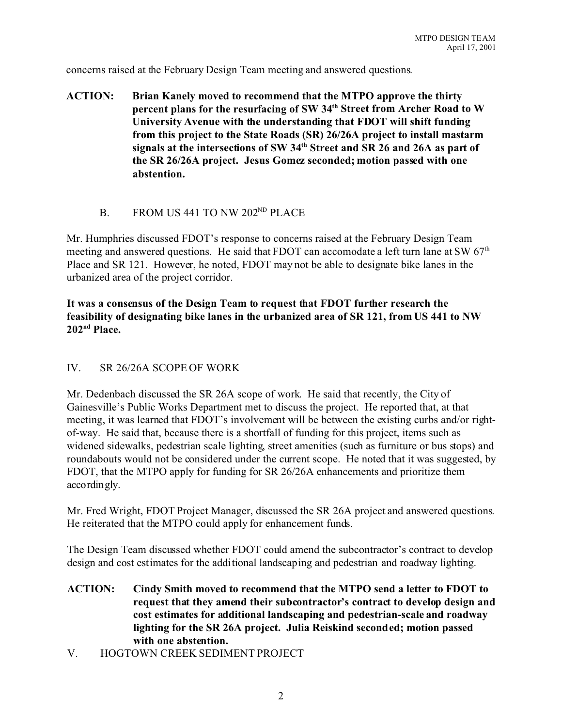concerns raised at the February Design Team meeting and answered questions.

- **ACTION: Brian Kanely moved to recommend that the MTPO approve the thirty percent plans for the resurfacing of SW 34th Street from Archer Road to W University Avenue with the understanding that FDOT will shift funding from this project to the State Roads (SR) 26/26A project to install mastarm signals at the intersections of SW 34th Street and SR 26 and 26A as part of the SR 26/26A project. Jesus Gomez seconded; motion passed with one abstention.**
	- B. FROM US 441 TO NW 202<sup>ND</sup> PLACE

Mr. Humphries discussed FDOT's response to concerns raised at the February Design Team meeting and answered questions. He said that FDOT can accomodate a left turn lane at SW  $67<sup>th</sup>$ Place and SR 121. However, he noted, FDOT may not be able to designate bike lanes in the urbanized area of the project corridor.

**It was a consensus of the Design Team to request that FDOT further research the feasibility of designating bike lanes in the urbanized area of SR 121, from US 441 to NW 202nd Place.**

### IV. SR 26/26A SCOPE OF WORK

Mr. Dedenbach discussed the SR 26A scope of work. He said that recently, the City of Gainesville's Public Works Department met to discuss the project. He reported that, at that meeting, it was learned that FDOT's involvement will be between the existing curbs and/or rightof-way. He said that, because there is a shortfall of funding for this project, items such as widened sidewalks, pedestrian scale lighting, street amenities (such as furniture or bus stops) and roundabouts would not be considered under the current scope. He noted that it was suggested, by FDOT, that the MTPO apply for funding for SR 26/26A enhancements and prioritize them accordingly.

Mr. Fred Wright, FDOT Project Manager, discussed the SR 26A project and answered questions. He reiterated that the MTPO could apply for enhancement funds.

The Design Team discussed whether FDOT could amend the subcontractor's contract to develop design and cost estimates for the additional landscaping and pedestrian and roadway lighting.

- **ACTION: Cindy Smith moved to recommend that the MTPO send a letter to FDOT to request that they amend their subcontractor's contract to develop design and cost estimates for additional landscaping and pedestrian-scale and roadway lighting for the SR 26A project. Julia Reiskind seconded; motion passed with one abstention.**
- V. HOGTOWN CREEK SEDIMENT PROJECT